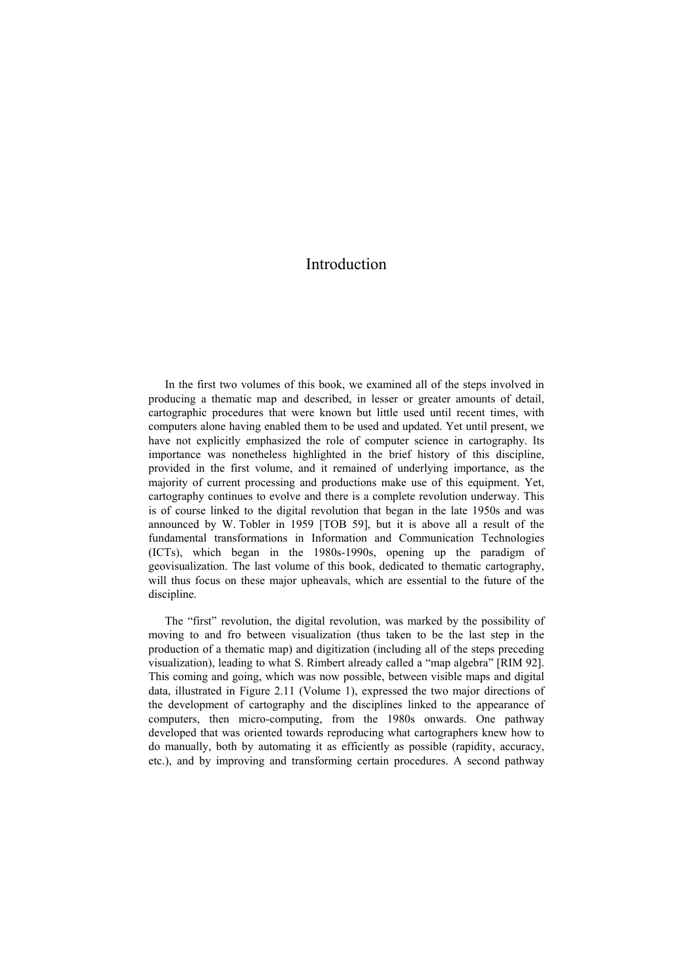## Introduction

In the first two volumes of this book, we examined all of the steps involved in producing a thematic map and described, in lesser or greater amounts of detail, cartographic procedures that were known but little used until recent times, with computers alone having enabled them to be used and updated. Yet until present, we have not explicitly emphasized the role of computer science in cartography. Its importance was nonetheless highlighted in the brief history of this discipline, provided in the first volume, and it remained of underlying importance, as the majority of current processing and productions make use of this equipment. Yet, cartography continues to evolve and there is a complete revolution underway. This is of course linked to the digital revolution that began in the late 1950s and was announced by W. Tobler in 1959 [TOB 59], but it is above all a result of the fundamental transformations in Information and Communication Technologies (ICTs), which began in the 1980s-1990s, opening up the paradigm of geovisualization. The last volume of this book, dedicated to thematic cartography, will thus focus on these major upheavals, which are essential to the future of the discipline.

The "first" revolution, the digital revolution, was marked by the possibility of moving to and fro between visualization (thus taken to be the last step in the production of a thematic map) and digitization (including all of the steps preceding visualization), leading to what S. Rimbert already called a "map algebra" [RIM 92]. This coming and going, which was now possible, between visible maps and digital data, illustrated in Figure 2.11 (Volume 1), expressed the two major directions of the development of cartography and the disciplines linked to the appearance of computers, then micro-computing, from the 1980s onwards. One pathway developed that was oriented towards reproducing what cartographers knew how to do manually, both by automating it as efficiently as possible (rapidity, accuracy, etc.), and by improving and transforming certain procedures. A second pathway